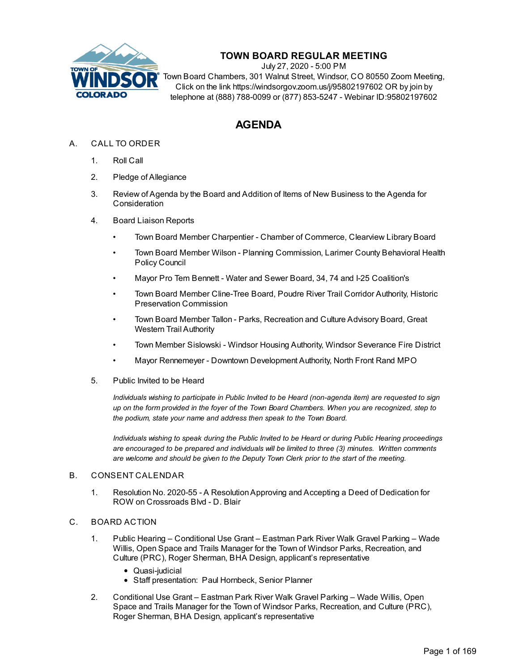

# **TOWN BOARD REGULAR MEETING**

July 27, 2020 - 5:00 PM

Town Board Chambers, 301 Walnut Street, Windsor, CO 80550 Zoom Meeting, Click on the link https://windsorgov.zoom.us/j/95802197602 OR by join by telephone at (888) 788-0099 or (877) 853-5247 - Webinar ID:95802197602

# **AGENDA**

## A. CALL TO ORDER

- 1. Roll Call
- 2. Pledge of Allegiance
- 3. Review of Agenda by the Board and Addition of Items of New Business to the Agenda for **Consideration**
- 4. Board Liaison Reports
	- Town Board Member Charpentier Chamber of Commerce, Clearview Library Board
	- Town Board Member Wilson Planning Commission, Larimer County Behavioral Health Policy Council
	- Mayor Pro Tem Bennett Water and Sewer Board, 34, 74 and I-25 Coalition's
	- Town Board Member Cline-Tree Board, Poudre River Trail Corridor Authority, Historic Preservation Commission
	- Town Board Member Tallon Parks, Recreation and Culture Advisory Board, Great Western Trail Authority
	- Town Member Sislowski Windsor Housing Authority, Windsor Severance Fire District
	- Mayor Rennemeyer Downtown Development Authority, North Front Rand MPO
- 5. Public Invited to be Heard

*Individuals wishing to participate in Public Invited to be Heard (non-agenda item) are requested to sign* up on the form provided in the foyer of the Town Board Chambers. When you are recognized, step to *the podium, state your name and address then speak to the Town Board.*

*Individuals wishing to speak during the Public Invited to be Heard or during Public Hearing proceedings are encouraged to be prepared and individuals will be limited to three (3) minutes. Written comments are welcome and should be given to the Deputy Town Clerk prior to the start of the meeting.*

#### B. CONSENT CALENDAR

1. Resolution No. 2020-55 - A ResolutionApproving and Accepting a Deed of Dedication for ROW on Crossroads Blvd - D. Blair

### C. BOARD ACTION

- 1. Public Hearing Conditional Use Grant Eastman Park River Walk Gravel Parking Wade Willis, Open Space and Trails Manager for the Town of Windsor Parks, Recreation, and Culture (PRC), Roger Sherman, BHA Design, applicant's representative
	- Quasi-judicial
	- Staff presentation: Paul Hornbeck, Senior Planner
- 2. Conditional Use Grant Eastman Park River Walk Gravel Parking Wade Willis, Open Space and Trails Manager for the Town of Windsor Parks, Recreation, and Culture (PRC), Roger Sherman, BHA Design, applicant's representative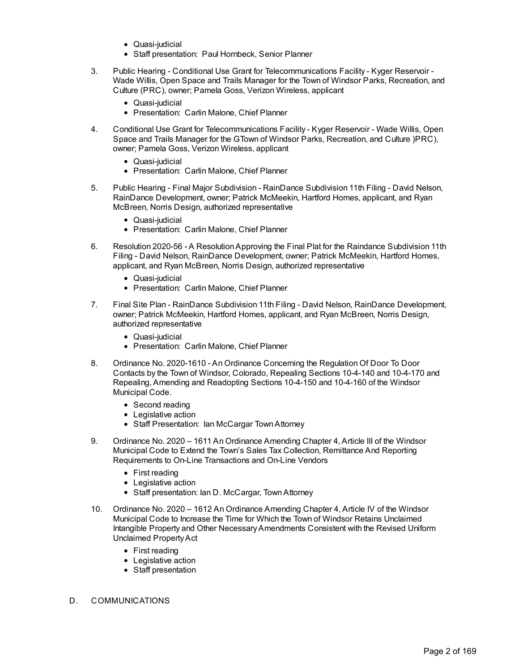- Quasi-judicial
- Staff presentation: Paul Hornbeck, Senior Planner
- 3. Public Hearing Conditional Use Grant for Telecommunications Facility Kyger Reservoir Wade Willis, Open Space and Trails Manager for the Town of Windsor Parks, Recreation, and Culture (PRC), owner; Pamela Goss, Verizon Wireless, applicant
	- Quasi-judicial
	- Presentation: Carlin Malone, Chief Planner
- 4. Conditional Use Grant for Telecommunications Facility Kyger Reservoir Wade Willis, Open Space and Trails Manager for the GTown of Windsor Parks, Recreation, and Culture )PRC), owner; Pamela Goss, Verizon Wireless, applicant
	- Quasi-judicial
	- Presentation: Carlin Malone, Chief Planner
- 5. Public Hearing Final Major Subdivision RainDance Subdivision 11th Filing David Nelson, RainDance Development, owner; Patrick McMeekin, Hartford Homes, applicant, and Ryan McBreen, Norris Design, authorized representative
	- Quasi-judicial
	- Presentation: Carlin Malone, Chief Planner
- 6. Resolution 2020-56 A ResolutionApproving the Final Plat for the Raindance Subdivision 11th Filing - David Nelson, RainDance Development, owner; Patrick McMeekin, Hartford Homes, applicant, and Ryan McBreen, Norris Design, authorized representative
	- Quasi-judicial
	- Presentation: Carlin Malone, Chief Planner
- 7. Final Site Plan RainDance Subdivision 11th Filing David Nelson, RainDance Development, owner; Patrick McMeekin, Hartford Homes, applicant, and Ryan McBreen, Norris Design, authorized representative
	- Quasi-judicial
	- Presentation: Carlin Malone, Chief Planner
- 8. Ordinance No. 2020-1610 An Ordinance Concerning the Regulation Of Door To Door Contacts by the Town of Windsor, Colorado, Repealing Sections 10-4-140 and 10-4-170 and Repealing, Amending and Readopting Sections 10-4-150 and 10-4-160 of the Windsor Municipal Code.
	- Second reading
	- Legislative action
	- Staff Presentation: Ian McCargar Town Attorney
- 9. Ordinance No. 2020 1611 An Ordinance Amending Chapter 4, Article III of the Windsor Municipal Code to Extend the Town's Sales Tax Collection, Remittance And Reporting Requirements to On-Line Transactions and On-Line Vendors
	- First reading
	- Legislative action
	- Staff presentation: Ian D. McCargar, Town Attorney
- 10. Ordinance No. 2020 1612 An Ordinance Amending Chapter 4, Article IV of the Windsor Municipal Code to Increase the Time for Which the Town of Windsor Retains Unclaimed Intangible Property and Other NecessaryAmendments Consistent with the Revised Uniform Unclaimed PropertyAct
	- First reading
	- Legislative action
	- Staff presentation
- D. COMMUNICATIONS